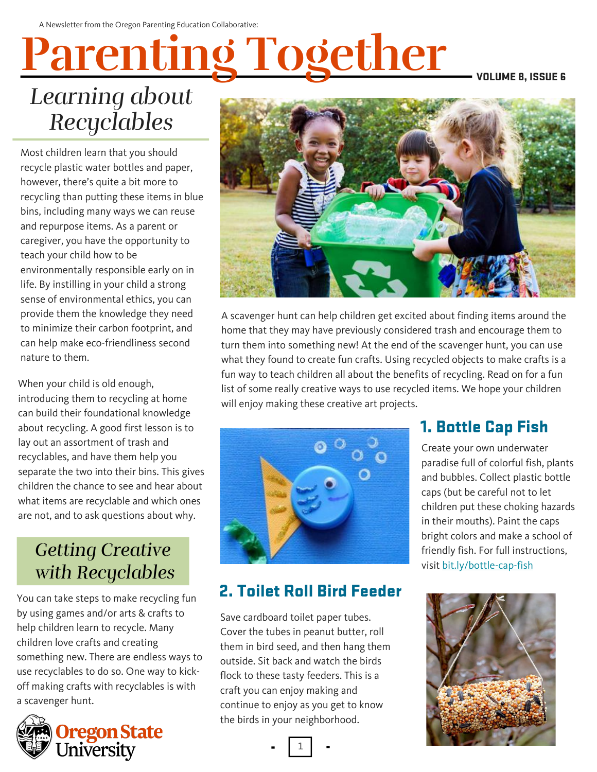# **Parenting Together**

VOLUME 8, ISSUE 6

# *Learning about Recyclables*

Most children learn that you should recycle plastic water bottles and paper, however, there's quite a bit more to recycling than putting these items in blue bins, including many ways we can reuse and repurpose items. As a parent or caregiver, you have the opportunity to teach your child how to be environmentally responsible early on in life. By instilling in your child a strong sense of environmental ethics, you can provide them the knowledge they need to [minimize](https://emagazine.com/carbon-footprint-2/) their carbon footprint, and can help make eco-friendliness second nature to them.

When your child is old enough, introducing them to recycling at home can build their foundational knowledge about recycling. A good first lesson is to lay out an assortment of trash and recyclables, and have them help you separate the two into their bins. This gives children the chance to see and hear about what items are recyclable and which ones are not, and to ask questions about why.

### *Getting Creative with Recyclables*

You can take steps to make recycling fun by using games and/or arts & crafts to help children learn to recycle. Many children love crafts and creating something new. There are endless ways to use recyclables to do so. One way to kickoff making crafts with recyclables is with a scavenger hunt.





A scavenger hunt can help children get excited about finding items around the home that they may have previously considered trash and encourage them to turn them into something new! At the end of the scavenger hunt, you can use what they found to create fun crafts. Using recycled objects to make crafts is a fun way to teach children all about the benefits of recycling. Read on for a fun list of some really creative ways to use recycled items. We hope your children will enjoy making these creative art projects.



#### 2. Toilet Roll Bird Feeder

Save cardboard toilet paper tubes. Cover the tubes in peanut butter, roll them in bird seed, and then hang them outside. Sit back and watch the birds flock to these tasty feeders. This is a craft you can enjoy making and continue to enjoy as you get to know the birds in your neighborhood.

1

#### 1. Bottle Cap Fish

Create your own underwater paradise full of colorful fish, plants and bubbles. Collect plastic bottle caps (but be careful not to let children put these choking hazards in their mouths). Paint the caps bright colors and make a school of friendly fish. For full instructions, visit bit.ly/bottle-cap-fish